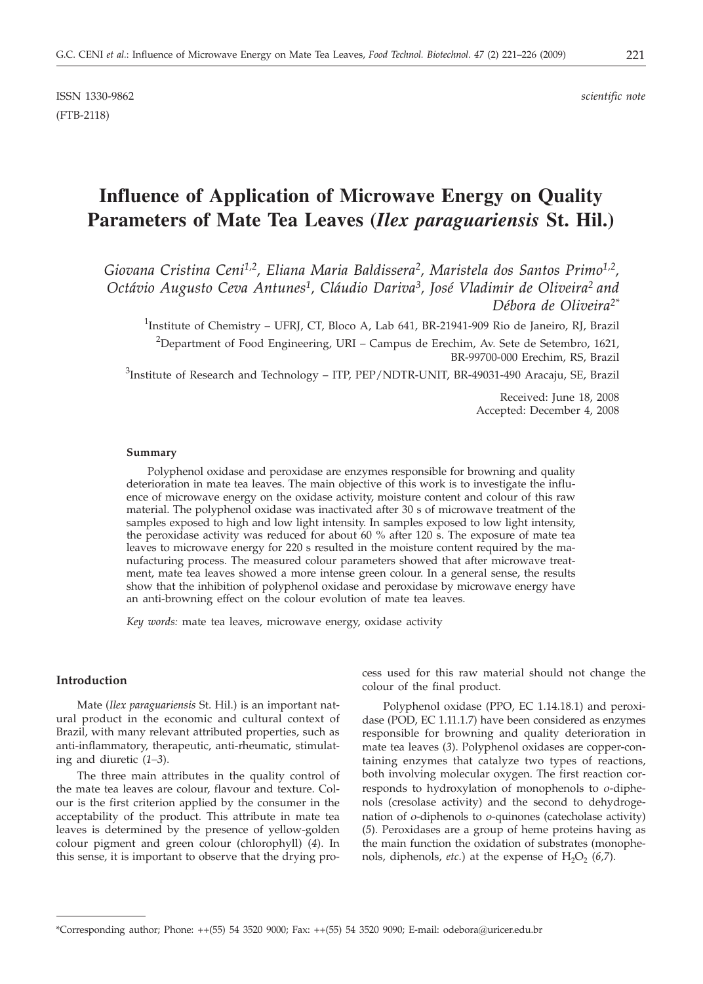# **Influence of Application of Microwave Energy on Quality Parameters of Mate Tea Leaves (***Ilex paraguariensis* **St. Hil.)**

*Giovana Cristina Ceni1,2, Eliana Maria Baldissera2, Maristela dos Santos Primo1,2, Octávio Augusto Ceva Antunes1, Cláudio Dariva3, José Vladimir de Oliveira2 and Débora de Oliveira2\**

<sup>1</sup>Institute of Chemistry – UFRJ, CT, Bloco A, Lab 641, BR-21941-909 Rio de Janeiro, RJ, Brazil

 $^{2}$ Department of Food Engineering, URI – Campus de Erechim, Av. Sete de Setembro, 1621, BR-99700-000 Erechim, RS, Brazil

 $^3$ Institute of Research and Technology – ITP, PEP/NDTR-UNIT, BR-49031-490 Aracaju, SE, Brazil

Received: June 18, 2008 Accepted: December 4, 2008

#### **Summary**

Polyphenol oxidase and peroxidase are enzymes responsible for browning and quality deterioration in mate tea leaves. The main objective of this work is to investigate the influence of microwave energy on the oxidase activity, moisture content and colour of this raw material. The polyphenol oxidase was inactivated after 30 s of microwave treatment of the samples exposed to high and low light intensity. In samples exposed to low light intensity, the peroxidase activity was reduced for about 60 % after 120 s. The exposure of mate tea leaves to microwave energy for 220 s resulted in the moisture content required by the manufacturing process. The measured colour parameters showed that after microwave treatment, mate tea leaves showed a more intense green colour. In a general sense, the results show that the inhibition of polyphenol oxidase and peroxidase by microwave energy have an anti-browning effect on the colour evolution of mate tea leaves.

*Key words:* mate tea leaves, microwave energy, oxidase activity

## **Introduction**

Mate (*Ilex paraguariensis* St. Hil.) is an important natural product in the economic and cultural context of Brazil, with many relevant attributed properties, such as anti-inflammatory, therapeutic, anti-rheumatic, stimulating and diuretic (*1–3*).

The three main attributes in the quality control of the mate tea leaves are colour, flavour and texture. Colour is the first criterion applied by the consumer in the acceptability of the product. This attribute in mate tea leaves is determined by the presence of yellow-golden colour pigment and green colour (chlorophyll) (*4*). In this sense, it is important to observe that the drying process used for this raw material should not change the colour of the final product.

Polyphenol oxidase (PPO, EC 1.14.18.1) and peroxidase (POD, EC 1.11.1.7) have been considered as enzymes responsible for browning and quality deterioration in mate tea leaves (*3*). Polyphenol oxidases are copper-containing enzymes that catalyze two types of reactions, both involving molecular oxygen. The first reaction corresponds to hydroxylation of monophenols to *o*-diphenols (cresolase activity) and the second to dehydrogenation of *o*-diphenols to *o*-quinones (catecholase activity) (*5*). Peroxidases are a group of heme proteins having as the main function the oxidation of substrates (monophenols, diphenols, *etc.*) at the expense of  $H_2O_2$  (6,7).

<sup>\*</sup>Corresponding author; Phone: ++(55) 54 3520 9000; Fax: ++(55) 54 3520 9090; E-mail: odebora@uricer.edu.br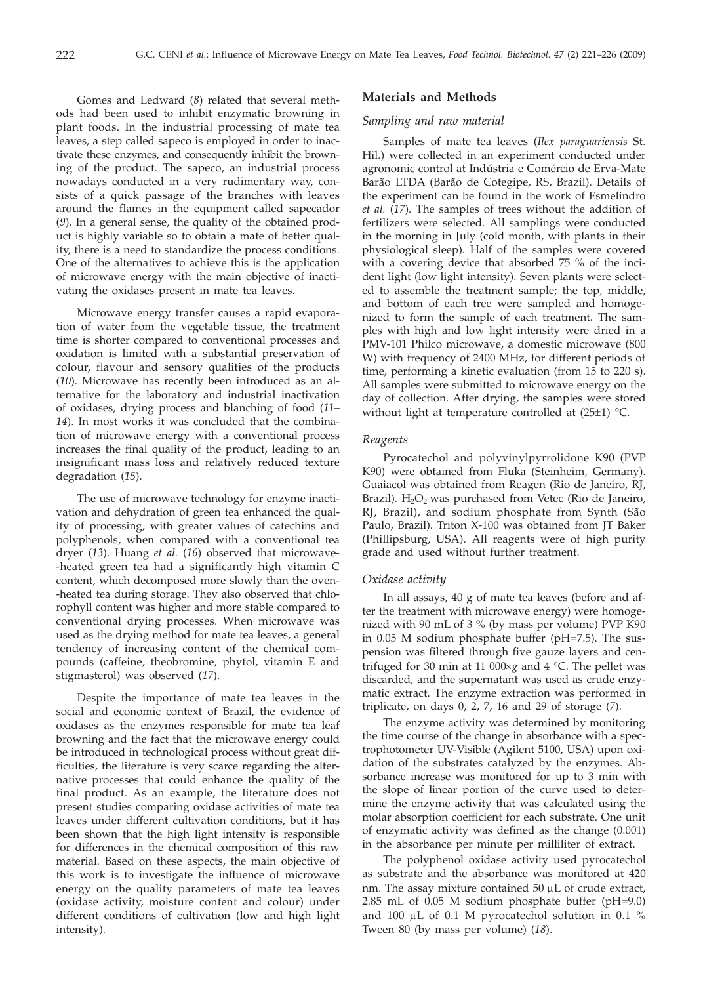Gomes and Ledward (*8*) related that several methods had been used to inhibit enzymatic browning in plant foods. In the industrial processing of mate tea leaves, a step called sapeco is employed in order to inactivate these enzymes, and consequently inhibit the browning of the product. The sapeco, an industrial process nowadays conducted in a very rudimentary way, consists of a quick passage of the branches with leaves around the flames in the equipment called sapecador (*9*). In a general sense, the quality of the obtained product is highly variable so to obtain a mate of better quality, there is a need to standardize the process conditions. One of the alternatives to achieve this is the application of microwave energy with the main objective of inactivating the oxidases present in mate tea leaves.

Microwave energy transfer causes a rapid evaporation of water from the vegetable tissue, the treatment time is shorter compared to conventional processes and oxidation is limited with a substantial preservation of colour, flavour and sensory qualities of the products (*10*). Microwave has recently been introduced as an alternative for the laboratory and industrial inactivation of oxidases, drying process and blanching of food (*11– 14*). In most works it was concluded that the combination of microwave energy with a conventional process increases the final quality of the product, leading to an insignificant mass loss and relatively reduced texture degradation (*15*).

The use of microwave technology for enzyme inactivation and dehydration of green tea enhanced the quality of processing, with greater values of catechins and polyphenols, when compared with a conventional tea dryer (*13*). Huang *et al.* (*16*) observed that microwave- -heated green tea had a significantly high vitamin C content, which decomposed more slowly than the oven- -heated tea during storage. They also observed that chlorophyll content was higher and more stable compared to conventional drying processes. When microwave was used as the drying method for mate tea leaves, a general tendency of increasing content of the chemical compounds (caffeine, theobromine, phytol, vitamin E and stigmasterol) was observed (*17*).

Despite the importance of mate tea leaves in the social and economic context of Brazil, the evidence of oxidases as the enzymes responsible for mate tea leaf browning and the fact that the microwave energy could be introduced in technological process without great difficulties, the literature is very scarce regarding the alternative processes that could enhance the quality of the final product. As an example, the literature does not present studies comparing oxidase activities of mate tea leaves under different cultivation conditions, but it has been shown that the high light intensity is responsible for differences in the chemical composition of this raw material. Based on these aspects, the main objective of this work is to investigate the influence of microwave energy on the quality parameters of mate tea leaves (oxidase activity, moisture content and colour) under different conditions of cultivation (low and high light intensity).

### **Materials and Methods**

#### *Sampling and raw material*

Samples of mate tea leaves (*Ilex paraguariensis* St. Hil.) were collected in an experiment conducted under agronomic control at Indústria e Comércio de Erva-Mate Barão LTDA (Barão de Cotegipe, RS, Brazil). Details of the experiment can be found in the work of Esmelindro *et al.* (*17*). The samples of trees without the addition of fertilizers were selected. All samplings were conducted in the morning in July (cold month, with plants in their physiological sleep). Half of the samples were covered with a covering device that absorbed 75 % of the incident light (low light intensity). Seven plants were selected to assemble the treatment sample; the top, middle, and bottom of each tree were sampled and homogenized to form the sample of each treatment. The samples with high and low light intensity were dried in a PMV-101 Philco microwave, a domestic microwave (800 W) with frequency of 2400 MHz, for different periods of time, performing a kinetic evaluation (from 15 to 220 s). All samples were submitted to microwave energy on the day of collection. After drying, the samples were stored without light at temperature controlled at  $(25\pm 1)$  °C.

#### *Reagents*

Pyrocatechol and polyvinylpyrrolidone K90 (PVP K90) were obtained from Fluka (Steinheim, Germany). Guaiacol was obtained from Reagen (Rio de Janeiro, RJ, Brazil).  $H_2O_2$  was purchased from Vetec (Rio de Janeiro, RJ, Brazil), and sodium phosphate from Synth (São Paulo, Brazil). Triton X-100 was obtained from JT Baker (Phillipsburg, USA). All reagents were of high purity grade and used without further treatment.

#### *Oxidase activity*

In all assays, 40 g of mate tea leaves (before and after the treatment with microwave energy) were homogenized with 90 mL of 3 % (by mass per volume) PVP K90 in 0.05 M sodium phosphate buffer (pH=7.5). The suspension was filtered through five gauze layers and centrifuged for 30 min at 11 000 $\times$ *g* and 4 °C. The pellet was discarded, and the supernatant was used as crude enzymatic extract. The enzyme extraction was performed in triplicate, on days 0, 2, 7, 16 and 29 of storage (*7*).

The enzyme activity was determined by monitoring the time course of the change in absorbance with a spectrophotometer UV-Visible (Agilent 5100, USA) upon oxidation of the substrates catalyzed by the enzymes. Absorbance increase was monitored for up to 3 min with the slope of linear portion of the curve used to determine the enzyme activity that was calculated using the molar absorption coefficient for each substrate. One unit of enzymatic activity was defined as the change (0.001) in the absorbance per minute per milliliter of extract.

The polyphenol oxidase activity used pyrocatechol as substrate and the absorbance was monitored at 420 nm. The assay mixture contained  $50 \mu L$  of crude extract, 2.85 mL of 0.05 M sodium phosphate buffer (pH=9.0) and 100  $\mu$ L of 0.1 M pyrocatechol solution in 0.1 % Tween 80 (by mass per volume) (*18*).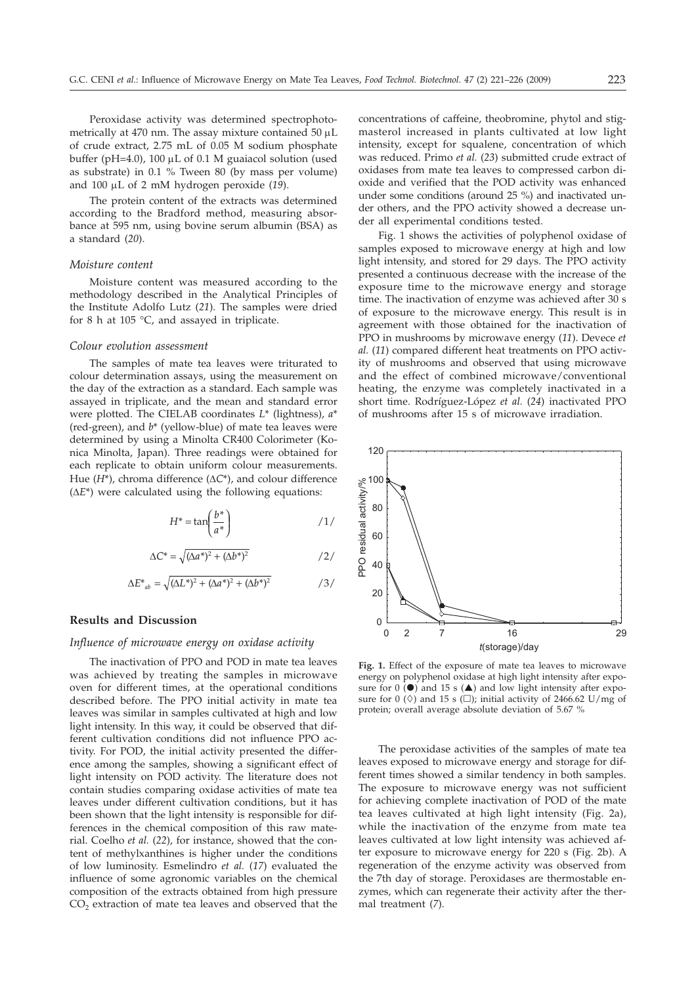Peroxidase activity was determined spectrophotometrically at 470 nm. The assay mixture contained 50  $\mu$ L of crude extract, 2.75 mL of 0.05 M sodium phosphate buffer (pH=4.0), 100  $\mu$ L of 0.1 M guaiacol solution (used as substrate) in 0.1 % Tween 80 (by mass per volume) and 100 µL of 2 mM hydrogen peroxide (19).

The protein content of the extracts was determined according to the Bradford method, measuring absorbance at 595 nm, using bovine serum albumin (BSA) as a standard (*20*).

### *Moisture content*

Moisture content was measured according to the methodology described in the Analytical Principles of the Institute Adolfo Lutz (*21*). The samples were dried for 8 h at 105 °C, and assayed in triplicate.

#### *Colour evolution assessment*

The samples of mate tea leaves were triturated to colour determination assays, using the measurement on the day of the extraction as a standard. Each sample was assayed in triplicate, and the mean and standard error were plotted. The CIELAB coordinates *L*\* (lightness), *a*\* (red-green), and *b*\* (yellow-blue) of mate tea leaves were determined by using a Minolta CR400 Colorimeter (Konica Minolta, Japan). Three readings were obtained for each replicate to obtain uniform colour measurements. Hue  $(H^*)$ , chroma difference  $(\Delta C^*)$ , and colour difference  $(\Delta E^*)$  were calculated using the following equations:

$$
H^* = \tan\left(\frac{b^*}{a^*}\right) \tag{1/}
$$

$$
\Delta C^* = \sqrt{(\Delta a^*)^2 + (\Delta b^*)^2}
$$

$$
\Delta E^*_{ab} = \sqrt{(\Delta L^*)^2 + (\Delta a^*)^2 + (\Delta b^*)^2}
$$

## **Results and Discussion**

#### *Influence of microwave energy on oxidase activity*

The inactivation of PPO and POD in mate tea leaves was achieved by treating the samples in microwave oven for different times, at the operational conditions described before. The PPO initial activity in mate tea leaves was similar in samples cultivated at high and low light intensity. In this way, it could be observed that different cultivation conditions did not influence PPO activity. For POD, the initial activity presented the difference among the samples, showing a significant effect of light intensity on POD activity. The literature does not contain studies comparing oxidase activities of mate tea leaves under different cultivation conditions, but it has been shown that the light intensity is responsible for differences in the chemical composition of this raw material. Coelho *et al.* (*22*), for instance, showed that the content of methylxanthines is higher under the conditions of low luminosity. Esmelindro *et al.* (*17*) evaluated the influence of some agronomic variables on the chemical composition of the extracts obtained from high pressure CO2 extraction of mate tea leaves and observed that the concentrations of caffeine, theobromine, phytol and stigmasterol increased in plants cultivated at low light intensity, except for squalene, concentration of which was reduced. Primo *et al.* (*23*) submitted crude extract of oxidases from mate tea leaves to compressed carbon dioxide and verified that the POD activity was enhanced under some conditions (around 25 %) and inactivated under others, and the PPO activity showed a decrease under all experimental conditions tested.

Fig. 1 shows the activities of polyphenol oxidase of samples exposed to microwave energy at high and low light intensity, and stored for 29 days. The PPO activity presented a continuous decrease with the increase of the exposure time to the microwave energy and storage time. The inactivation of enzyme was achieved after 30 s of exposure to the microwave energy. This result is in agreement with those obtained for the inactivation of PPO in mushrooms by microwave energy (*11*). Devece *et al.* (*11*) compared different heat treatments on PPO activity of mushrooms and observed that using microwave and the effect of combined microwave/conventional heating, the enzyme was completely inactivated in a short time. Rodríguez-López *et al.* (*24*) inactivated PPO of mushrooms after 15 s of microwave irradiation.



**Fig. 1.** Effect of the exposure of mate tea leaves to microwave energy on polyphenol oxidase at high light intensity after exposure for  $0$  ( $\bullet$ ) and 15 s ( $\blacktriangle$ ) and low light intensity after exposure for 0 ( $\Diamond$ ) and 15 s ( $\Box$ ); initial activity of 2466.62 U/mg of protein; overall average absolute deviation of 5.67 %

The peroxidase activities of the samples of mate tea leaves exposed to microwave energy and storage for different times showed a similar tendency in both samples. The exposure to microwave energy was not sufficient for achieving complete inactivation of POD of the mate tea leaves cultivated at high light intensity (Fig. 2a), while the inactivation of the enzyme from mate tea leaves cultivated at low light intensity was achieved after exposure to microwave energy for 220 s (Fig. 2b). A regeneration of the enzyme activity was observed from the 7th day of storage. Peroxidases are thermostable enzymes, which can regenerate their activity after the thermal treatment (*7*).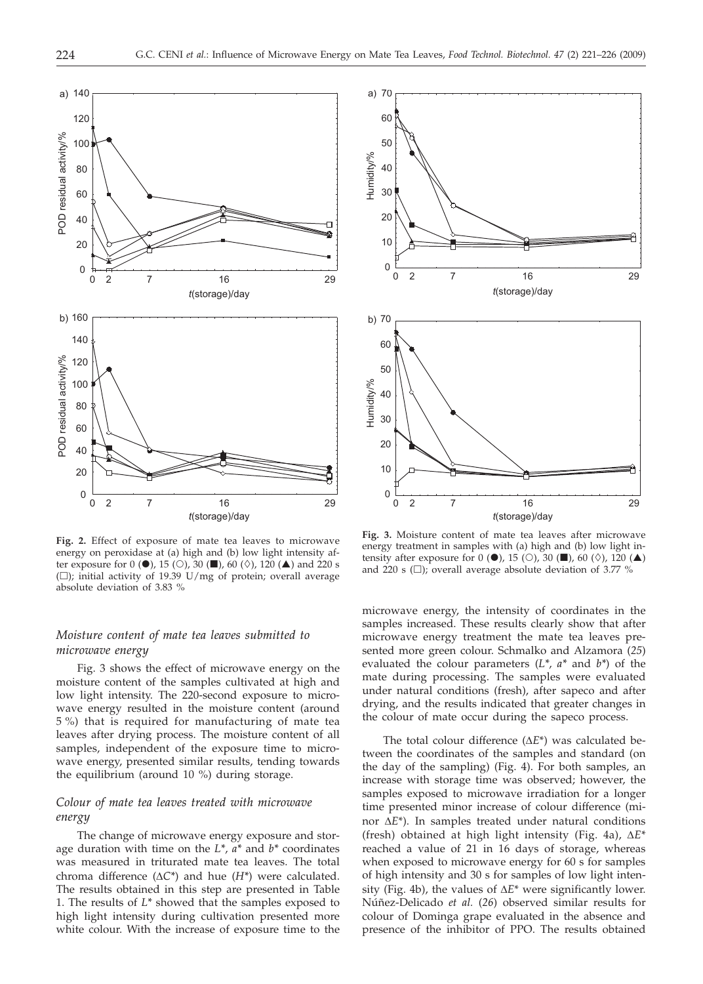

**Fig. 2.** Effect of exposure of mate tea leaves to microwave energy on peroxidase at (a) high and (b) low light intensity after exposure for 0 ( $\bullet$ ), 15 ( $\circ$ ), 30 ( $\blacksquare$ ), 60 ( $\diamond$ ), 120 ( $\blacktriangle$ ) and 220 s ( $\square$ ); initial activity of 19.39 U/mg of protein; overall average absolute deviation of 3.83 %

# *Moisture content of mate tea leaves submitted to microwave energy*

Fig. 3 shows the effect of microwave energy on the moisture content of the samples cultivated at high and low light intensity. The 220-second exposure to microwave energy resulted in the moisture content (around 5 %) that is required for manufacturing of mate tea leaves after drying process. The moisture content of all samples, independent of the exposure time to microwave energy, presented similar results, tending towards the equilibrium (around 10 %) during storage.

# *Colour of mate tea leaves treated with microwave energy*

The change of microwave energy exposure and storage duration with time on the *L\**, *a\** and *b\** coordinates was measured in triturated mate tea leaves. The total chroma difference  $(\Delta C^*)$  and hue  $(H^*)$  were calculated. The results obtained in this step are presented in Table 1. The results of *L\** showed that the samples exposed to high light intensity during cultivation presented more white colour. With the increase of exposure time to the



**Fig. 3.** Moisture content of mate tea leaves after microwave energy treatment in samples with (a) high and (b) low light intensity after exposure for 0 ( $\bullet$ ), 15 ( $\circ$ ), 30 ( $\blacksquare$ ), 60 ( $\diamond$ ), 120 ( $\blacktriangle$ ) and 220 s  $(\Box)$ ; overall average absolute deviation of 3.77 %

microwave energy, the intensity of coordinates in the samples increased. These results clearly show that after microwave energy treatment the mate tea leaves presented more green colour. Schmalko and Alzamora (*25*) evaluated the colour parameters (*L\**, *a\** and *b\**) of the mate during processing. The samples were evaluated under natural conditions (fresh), after sapeco and after drying, and the results indicated that greater changes in the colour of mate occur during the sapeco process.

The total colour difference  $(\Delta E^*)$  was calculated between the coordinates of the samples and standard (on the day of the sampling) (Fig. 4). For both samples, an increase with storage time was observed; however, the samples exposed to microwave irradiation for a longer time presented minor increase of colour difference (minor  $\Delta E^*$ ). In samples treated under natural conditions (fresh) obtained at high light intensity (Fig. 4a),  $\Delta E^*$ reached a value of 21 in 16 days of storage, whereas when exposed to microwave energy for 60 s for samples of high intensity and 30 s for samples of low light intensity (Fig. 4b), the values of  $\Delta E^*$  were significantly lower. Núñez-Delicado *et al.* (*26*) observed similar results for colour of Dominga grape evaluated in the absence and presence of the inhibitor of PPO. The results obtained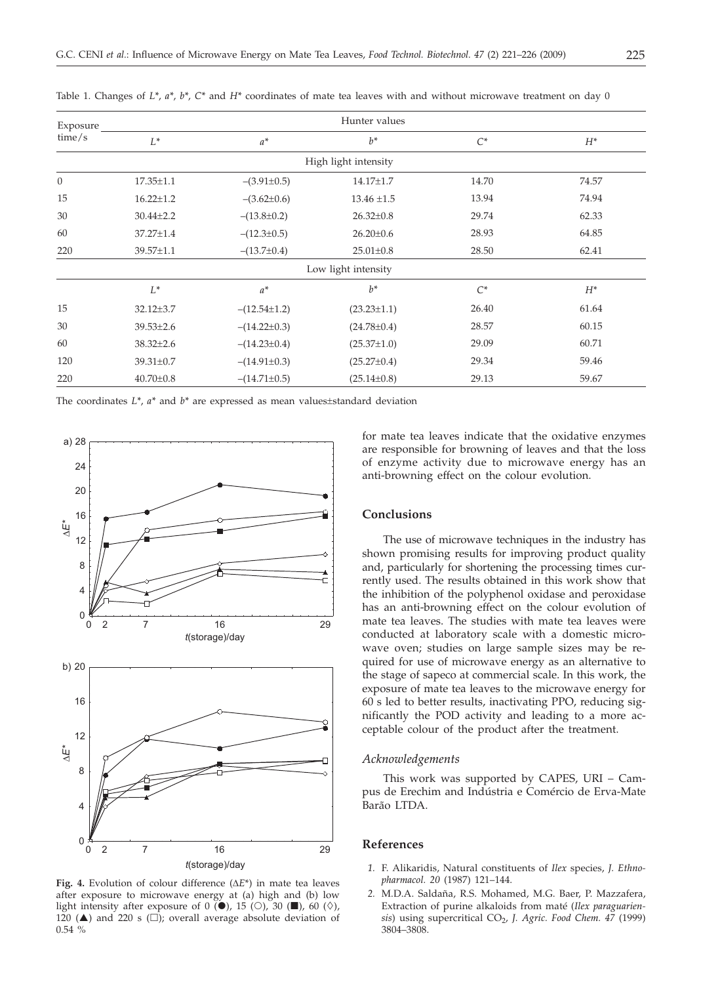| Exposure       | Hunter values   |                    |                      |       |       |
|----------------|-----------------|--------------------|----------------------|-------|-------|
| time/s         | $L^*$           | $a^*$              | $h^*$                | $C^*$ | $H^*$ |
|                |                 |                    | High light intensity |       |       |
| $\overline{0}$ | $17.35 \pm 1.1$ | $-(3.91\pm0.5)$    | 14.17±1.7            | 14.70 | 74.57 |
| 15             | $16.22 \pm 1.2$ | $-(3.62\pm0.6)$    | $13.46 \pm 1.5$      | 13.94 | 74.94 |
| 30             | $30.44 \pm 2.2$ | $-(13.8\pm0.2)$    | $26.32 \pm 0.8$      | 29.74 | 62.33 |
| 60             | 37.27±1.4       | $-(12.3\pm0.5)$    | $26.20 \pm 0.6$      | 28.93 | 64.85 |
| 220            | 39.57±1.1       | $-(13.7\pm0.4)$    | $25.01 \pm 0.8$      | 28.50 | 62.41 |
|                |                 |                    | Low light intensity  |       |       |
|                | $L^*$           | $a^*$              | $h^*$                | $C^*$ | $H^*$ |
| 15             | $32.12 \pm 3.7$ | $-(12.54 \pm 1.2)$ | $(23.23 \pm 1.1)$    | 26.40 | 61.64 |
| 30             | $39.53 \pm 2.6$ | $-(14.22\pm0.3)$   | $(24.78 \pm 0.4)$    | 28.57 | 60.15 |
| 60             | $38.32 \pm 2.6$ | $-(14.23\pm0.4)$   | $(25.37 \pm 1.0)$    | 29.09 | 60.71 |
| 120            | 39.31±0.7       | $-(14.91\pm0.3)$   | $(25.27 \pm 0.4)$    | 29.34 | 59.46 |
| 220            | $40.70 \pm 0.8$ | $-(14.71\pm0.5)$   | $(25.14 \pm 0.8)$    | 29.13 | 59.67 |

Table 1. Changes of *L\**, *a\**, *b\**, *C\** and *H\** coordinates of mate tea leaves with and without microwave treatment on day 0

The coordinates *L\**, *a\** and *b\** are expressed as mean values±standard deviation



Fig. 4. Evolution of colour difference  $(\Delta E^*)$  in mate tea leaves after exposure to microwave energy at (a) high and (b) low light intensity after exposure of 0  $\overline{(•)}$ , 15  $\left(\bigcirc\right)$ , 30  $\left(\blacksquare\right)$ , 60  $\left(\Diamond\right)$ , 120 ( $\triangle$ ) and 220 s ( $\square$ ); overall average absolute deviation of 0.54 %

for mate tea leaves indicate that the oxidative enzymes are responsible for browning of leaves and that the loss of enzyme activity due to microwave energy has an anti-browning effect on the colour evolution.

## **Conclusions**

The use of microwave techniques in the industry has shown promising results for improving product quality and, particularly for shortening the processing times currently used. The results obtained in this work show that the inhibition of the polyphenol oxidase and peroxidase has an anti-browning effect on the colour evolution of mate tea leaves. The studies with mate tea leaves were conducted at laboratory scale with a domestic microwave oven; studies on large sample sizes may be required for use of microwave energy as an alternative to the stage of sapeco at commercial scale. In this work, the exposure of mate tea leaves to the microwave energy for 60 s led to better results, inactivating PPO, reducing significantly the POD activity and leading to a more acceptable colour of the product after the treatment.

### *Acknowledgements*

This work was supported by CAPES, URI – Campus de Erechim and Indústria e Comércio de Erva-Mate Barão LTDA.

## **References**

- *1.* F. Alikaridis, Natural constituents of *Ilex* species, *J. Ethnopharmacol. 20* (1987) 121–144.
- *2.* M.D.A. Saldaña, R.S. Mohamed, M.G. Baer, P. Mazzafera, Extraction of purine alkaloids from maté (*Ilex paraguariensis*) using supercritical CO<sub>2</sub>, *J. Agric. Food Chem. 47* (1999) 3804–3808.